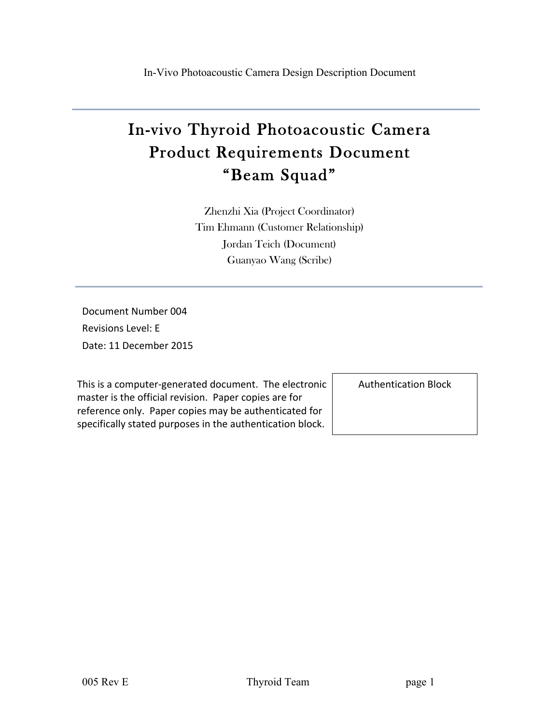# In-vivo Thyroid Photoacoustic Camera Product Requirements Document "Beam Squad"

Zhenzhi Xia (Project Coordinator) Tim Ehmann (Customer Relationship) Jordan Teich (Document) Guanyao Wang (Scribe)

Document Number 004 Revisions Level: E Date: 11 December 2015

This is a computer-generated document. The electronic master is the official revision. Paper copies are for reference only. Paper copies may be authenticated for specifically stated purposes in the authentication block.

Authentication Block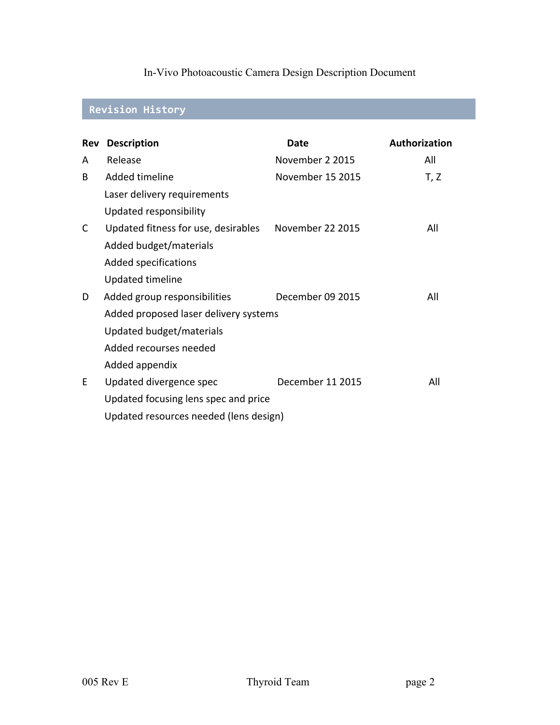## **Revision History**

| <b>Rev</b> | <b>Description</b>                     | Date             | Authorization |
|------------|----------------------------------------|------------------|---------------|
| A          | Release                                | November 2 2015  | All           |
| B          | Added timeline                         | November 15 2015 | T, Z          |
|            | Laser delivery requirements            |                  |               |
|            | Updated responsibility                 |                  |               |
| C          | Updated fitness for use, desirables    | November 22 2015 | All           |
|            | Added budget/materials                 |                  |               |
|            | Added specifications                   |                  |               |
|            | Updated timeline                       |                  |               |
| D          | Added group responsibilities           | December 09 2015 | All           |
|            | Added proposed laser delivery systems  |                  |               |
|            | Updated budget/materials               |                  |               |
|            | Added recourses needed                 |                  |               |
|            | Added appendix                         |                  |               |
| E          | Updated divergence spec                | December 11 2015 | All           |
|            | Updated focusing lens spec and price   |                  |               |
|            | Updated resources needed (lens design) |                  |               |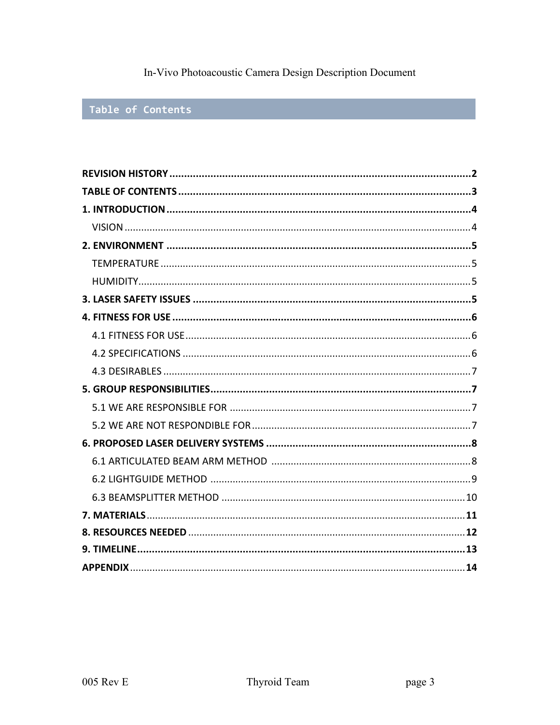## Table of Contents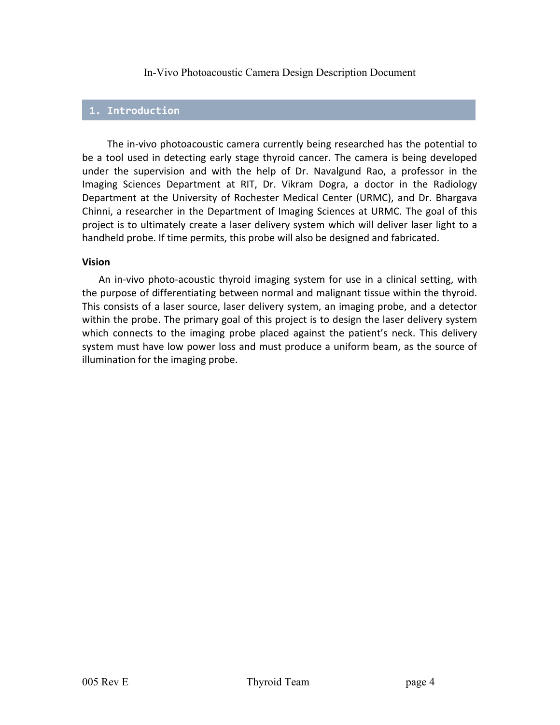## **1. Introduction**

The in-vivo photoacoustic camera currently being researched has the potential to be a tool used in detecting early stage thyroid cancer. The camera is being developed under the supervision and with the help of Dr. Navalgund Rao, a professor in the Imaging Sciences Department at RIT, Dr. Vikram Dogra, a doctor in the Radiology Department at the University of Rochester Medical Center (URMC), and Dr. Bhargava Chinni, a researcher in the Department of Imaging Sciences at URMC. The goal of this project is to ultimately create a laser delivery system which will deliver laser light to a handheld probe. If time permits, this probe will also be designed and fabricated.

#### **Vision**

An in-vivo photo-acoustic thyroid imaging system for use in a clinical setting, with the purpose of differentiating between normal and malignant tissue within the thyroid. This consists of a laser source, laser delivery system, an imaging probe, and a detector within the probe. The primary goal of this project is to design the laser delivery system which connects to the imaging probe placed against the patient's neck. This delivery system must have low power loss and must produce a uniform beam, as the source of illumination for the imaging probe.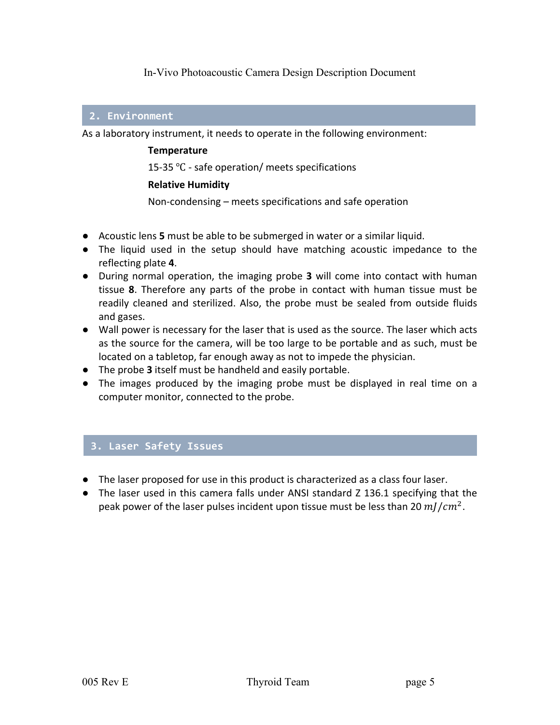#### **2. Environment**

As a laboratory instrument, it needs to operate in the following environment:

#### **Temperature**

15-35 °C - safe operation/ meets specifications

#### **Relative Humidity**

Non-condensing  $-$  meets specifications and safe operation

- Acoustic lens **5** must be able to be submerged in water or a similar liquid.
- The liquid used in the setup should have matching acoustic impedance to the reflecting plate 4.
- During normal operation, the imaging probe 3 will come into contact with human tissue **8**. Therefore any parts of the probe in contact with human tissue must be readily cleaned and sterilized. Also, the probe must be sealed from outside fluids and gases.
- Wall power is necessary for the laser that is used as the source. The laser which acts as the source for the camera, will be too large to be portable and as such, must be located on a tabletop, far enough away as not to impede the physician.
- **•** The probe **3** itself must be handheld and easily portable.
- The images produced by the imaging probe must be displayed in real time on a computer monitor, connected to the probe.

### **3. Laser Safety Issues**

- The laser proposed for use in this product is characterized as a class four laser.
- The laser used in this camera falls under ANSI standard Z 136.1 specifying that the peak power of the laser pulses incident upon tissue must be less than 20  $ml/cm^2$ .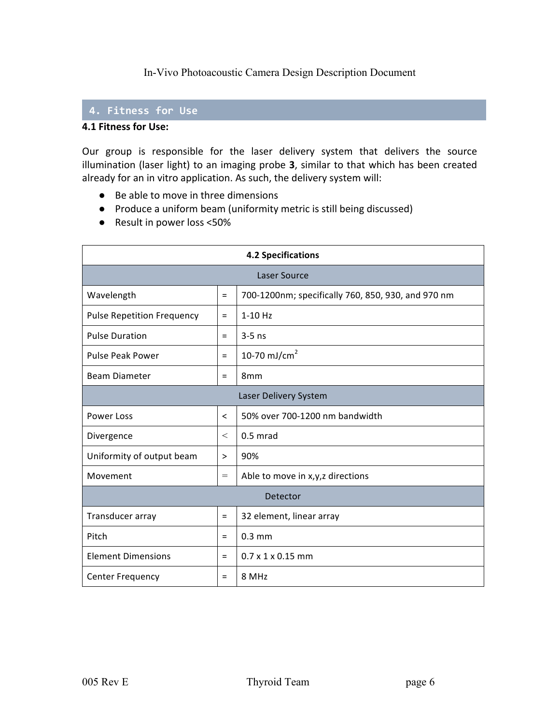## **4. Fitness for Use**

### **4.1 Fitness for Use:**

Our group is responsible for the laser delivery system that delivers the source illumination (laser light) to an imaging probe 3, similar to that which has been created already for an in vitro application. As such, the delivery system will:

- Be able to move in three dimensions
- Produce a uniform beam (uniformity metric is still being discussed)
- Result in power loss <50%

| <b>4.2 Specifications</b>         |                          |                                                    |  |
|-----------------------------------|--------------------------|----------------------------------------------------|--|
| Laser Source                      |                          |                                                    |  |
| Wavelength                        | $=$                      | 700-1200nm; specifically 760, 850, 930, and 970 nm |  |
| <b>Pulse Repetition Frequency</b> | $=$                      | $1-10$ Hz                                          |  |
| <b>Pulse Duration</b>             | $=$                      | $3-5$ ns                                           |  |
| <b>Pulse Peak Power</b>           | $=$                      | 10-70 mJ/cm <sup>2</sup>                           |  |
| <b>Beam Diameter</b>              | $=$                      | 8 <sub>mm</sub>                                    |  |
|                                   |                          | Laser Delivery System                              |  |
| <b>Power Loss</b>                 | $\overline{\phantom{0}}$ | 50% over 700-1200 nm bandwidth                     |  |
| Divergence                        | $\,<\,$                  | $0.5$ mrad                                         |  |
| Uniformity of output beam         | $\,>$                    | 90%                                                |  |
| Movement                          | $=$                      | Able to move in x,y,z directions                   |  |
| Detector                          |                          |                                                    |  |
| Transducer array                  | $=$                      | 32 element, linear array                           |  |
| Pitch                             | $=$                      | $0.3$ mm                                           |  |
| <b>Element Dimensions</b>         | $=$                      | $0.7 \times 1 \times 0.15$ mm                      |  |
| Center Frequency                  | $=$                      | 8 MHz                                              |  |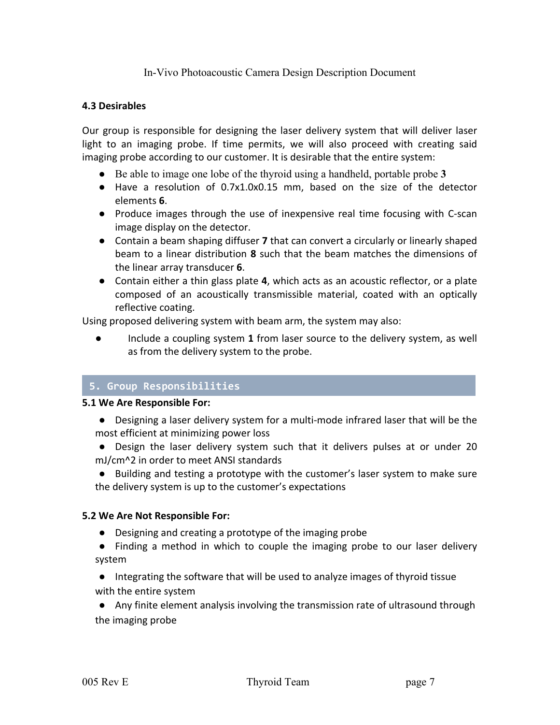### **4.3 Desirables**

Our group is responsible for designing the laser delivery system that will deliver laser light to an imaging probe. If time permits, we will also proceed with creating said imaging probe according to our customer. It is desirable that the entire system:

- Be able to image one lobe of the thyroid using a handheld, portable probe **3**
- Have a resolution of 0.7x1.0x0.15 mm, based on the size of the detector elements **6**.
- Produce images through the use of inexpensive real time focusing with C-scan image display on the detector.
- Contain a beam shaping diffuser **7** that can convert a circularly or linearly shaped beam to a linear distribution **8** such that the beam matches the dimensions of the linear array transducer **6**.
- Contain either a thin glass plate 4, which acts as an acoustic reflector, or a plate composed of an acoustically transmissible material, coated with an optically reflective coating.

Using proposed delivering system with beam arm, the system may also:

Include a coupling system 1 from laser source to the delivery system, as well as from the delivery system to the probe.

## **5. Group Responsibilities**

### **5.1 We Are Responsible For:**

- Designing a laser delivery system for a multi-mode infrared laser that will be the most efficient at minimizing power loss
- Design the laser delivery system such that it delivers pulses at or under 20 mJ/cm^2 in order to meet ANSI standards
- Building and testing a prototype with the customer's laser system to make sure the delivery system is up to the customer's expectations

### **5.2 We Are Not Responsible For:**

- Designing and creating a prototype of the imaging probe
- Finding a method in which to couple the imaging probe to our laser delivery system
- Integrating the software that will be used to analyze images of thyroid tissue with the entire system

● Any finite element analysis involving the transmission rate of ultrasound through the imaging probe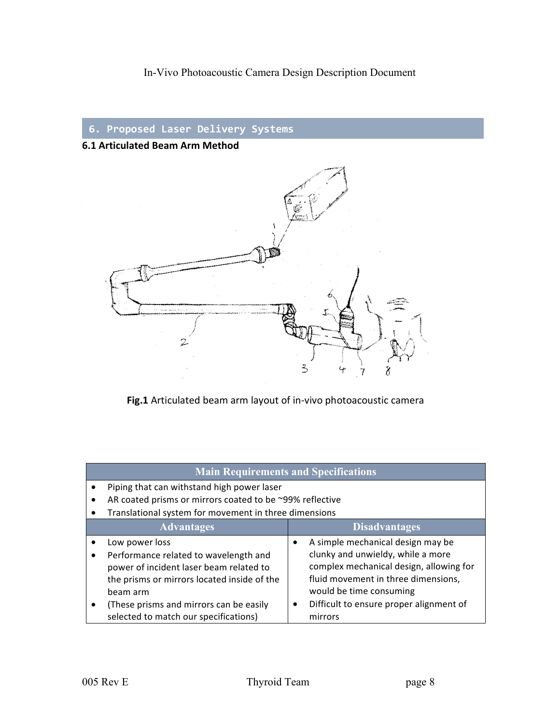## **6. Proposed Laser Delivery Systems**

## **6.1 Articulated Beam Arm Method**



Fig.1 Articulated beam arm layout of in-vivo photoacoustic camera

|  | <b>Main Requirements and Specifications</b> |
|--|---------------------------------------------|
|  |                                             |
|  |                                             |

- Piping that can withstand high power laser
- AR coated prisms or mirrors coated to be  $\sim$ 99% reflective
- Translational system for movement in three dimensions

| <b>Advantages</b>                                                                                                                           | <b>Disadvantages</b>                                                                                                                           |
|---------------------------------------------------------------------------------------------------------------------------------------------|------------------------------------------------------------------------------------------------------------------------------------------------|
| Low power loss                                                                                                                              | A simple mechanical design may be                                                                                                              |
| Performance related to wavelength and<br>power of incident laser beam related to<br>the prisms or mirrors located inside of the<br>beam arm | clunky and unwieldy, while a more<br>complex mechanical design, allowing for<br>fluid movement in three dimensions,<br>would be time consuming |
| (These prisms and mirrors can be easily<br>selected to match our specifications)                                                            | Difficult to ensure proper alignment of<br>mirrors                                                                                             |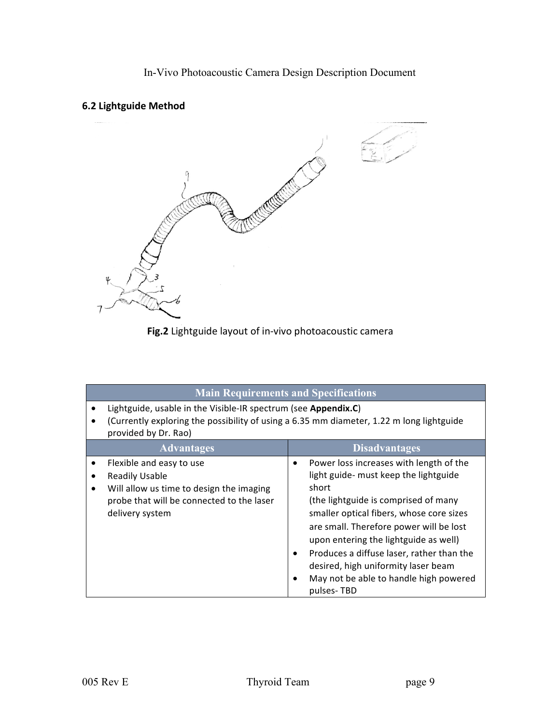## **6.2 Lightguide Method**



Fig.2 Lightguide layout of in-vivo photoacoustic camera

| <b>Main Requirements and Specifications</b>                                                                                                                                        |                                                                                                                                                                                                                                                                                                                                                                                                                                              |  |  |
|------------------------------------------------------------------------------------------------------------------------------------------------------------------------------------|----------------------------------------------------------------------------------------------------------------------------------------------------------------------------------------------------------------------------------------------------------------------------------------------------------------------------------------------------------------------------------------------------------------------------------------------|--|--|
| Lightguide, usable in the Visible-IR spectrum (see Appendix.C)<br>(Currently exploring the possibility of using a 6.35 mm diameter, 1.22 m long lightguide<br>provided by Dr. Rao) |                                                                                                                                                                                                                                                                                                                                                                                                                                              |  |  |
| <b>Advantages</b>                                                                                                                                                                  | <b>Disadvantages</b>                                                                                                                                                                                                                                                                                                                                                                                                                         |  |  |
| Flexible and easy to use<br><b>Readily Usable</b><br>Will allow us time to design the imaging<br>٠<br>probe that will be connected to the laser<br>delivery system                 | Power loss increases with length of the<br>٠<br>light guide- must keep the lightguide<br>short<br>(the lightguide is comprised of many<br>smaller optical fibers, whose core sizes<br>are small. Therefore power will be lost<br>upon entering the lightguide as well)<br>Produces a diffuse laser, rather than the<br>$\bullet$<br>desired, high uniformity laser beam<br>May not be able to handle high powered<br>$\bullet$<br>pulses-TBD |  |  |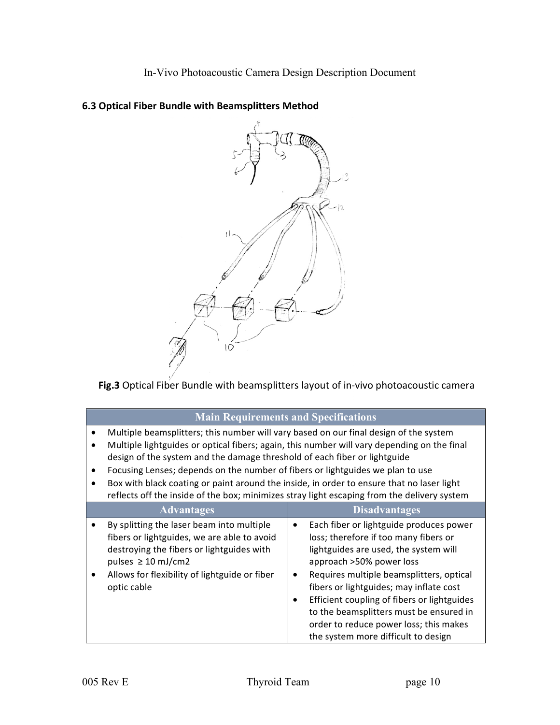

## **6.3 Optical Fiber Bundle with Beamsplitters Method**

Fig.3 Optical Fiber Bundle with beamsplitters layout of in-vivo photoacoustic camera

| <b>Main Requirements and Specifications</b>                                                                                                                                                                                                                                                                                                                                                                                                                                                                                                     |                                                                                                                                                                                                                                                                                                                                                                                                                                        |  |  |
|-------------------------------------------------------------------------------------------------------------------------------------------------------------------------------------------------------------------------------------------------------------------------------------------------------------------------------------------------------------------------------------------------------------------------------------------------------------------------------------------------------------------------------------------------|----------------------------------------------------------------------------------------------------------------------------------------------------------------------------------------------------------------------------------------------------------------------------------------------------------------------------------------------------------------------------------------------------------------------------------------|--|--|
| Multiple beamsplitters; this number will vary based on our final design of the system<br>Multiple lightguides or optical fibers; again, this number will vary depending on the final<br>design of the system and the damage threshold of each fiber or lightguide<br>Focusing Lenses; depends on the number of fibers or lightguides we plan to use<br>Box with black coating or paint around the inside, in order to ensure that no laser light<br>reflects off the inside of the box; minimizes stray light escaping from the delivery system |                                                                                                                                                                                                                                                                                                                                                                                                                                        |  |  |
| <b>Advantages</b>                                                                                                                                                                                                                                                                                                                                                                                                                                                                                                                               | <b>Disadvantages</b>                                                                                                                                                                                                                                                                                                                                                                                                                   |  |  |
| By splitting the laser beam into multiple<br>fibers or lightguides, we are able to avoid<br>destroying the fibers or lightguides with<br>pulses $\geq 10$ mJ/cm2<br>Allows for flexibility of lightguide or fiber<br>optic cable                                                                                                                                                                                                                                                                                                                | Each fiber or lightguide produces power<br>٠<br>loss; therefore if too many fibers or<br>lightguides are used, the system will<br>approach >50% power loss<br>Requires multiple beamsplitters, optical<br>٠<br>fibers or lightguides; may inflate cost<br>Efficient coupling of fibers or lightguides<br>٠<br>to the beamsplitters must be ensured in<br>order to reduce power loss; this makes<br>the system more difficult to design |  |  |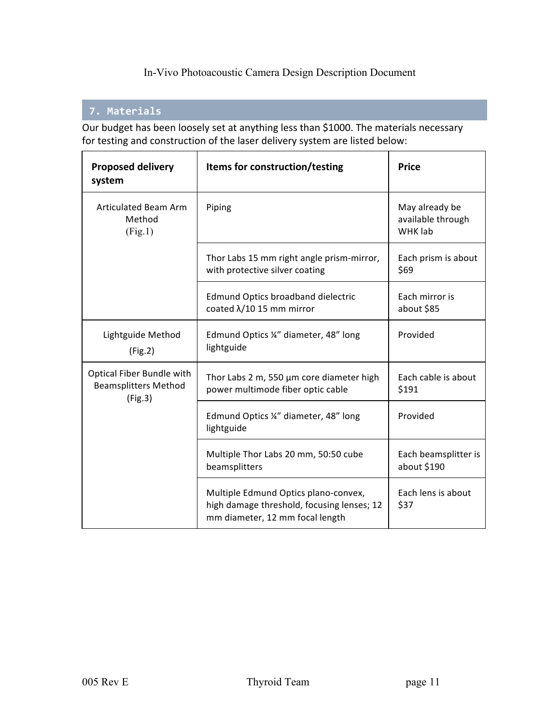## **7. Materials**

Our budget has been loosely set at anything less than \$1000. The materials necessary for testing and construction of the laser delivery system are listed below:

| <b>Proposed delivery</b><br>system                                  | Items for construction/testing                                                                                        | <b>Price</b>                                   |
|---------------------------------------------------------------------|-----------------------------------------------------------------------------------------------------------------------|------------------------------------------------|
| Articulated Beam Arm<br>Method<br>(Fig.1)                           | Piping                                                                                                                | May already be<br>available through<br>WHK lab |
|                                                                     | Thor Labs 15 mm right angle prism-mirror,<br>with protective silver coating                                           | Each prism is about<br>\$69                    |
|                                                                     | <b>Edmund Optics broadband dielectric</b><br>coated $\lambda$ /10 15 mm mirror                                        | Each mirror is<br>about \$85                   |
| Lightguide Method<br>(Fig.2)                                        | Edmund Optics ¼" diameter, 48" long<br>lightguide                                                                     | Provided                                       |
| Optical Fiber Bundle with<br><b>Beamsplitters Method</b><br>(Fig.3) | Thor Labs 2 m, 550 $\mu$ m core diameter high<br>power multimode fiber optic cable                                    | Each cable is about<br>\$191                   |
|                                                                     | Edmund Optics ¼" diameter, 48" long<br>lightguide                                                                     | Provided                                       |
|                                                                     | Multiple Thor Labs 20 mm, 50:50 cube<br>beamsplitters                                                                 | Each beamsplitter is<br>about \$190            |
|                                                                     | Multiple Edmund Optics plano-convex,<br>high damage threshold, focusing lenses; 12<br>mm diameter, 12 mm focal length | Each lens is about<br>\$37                     |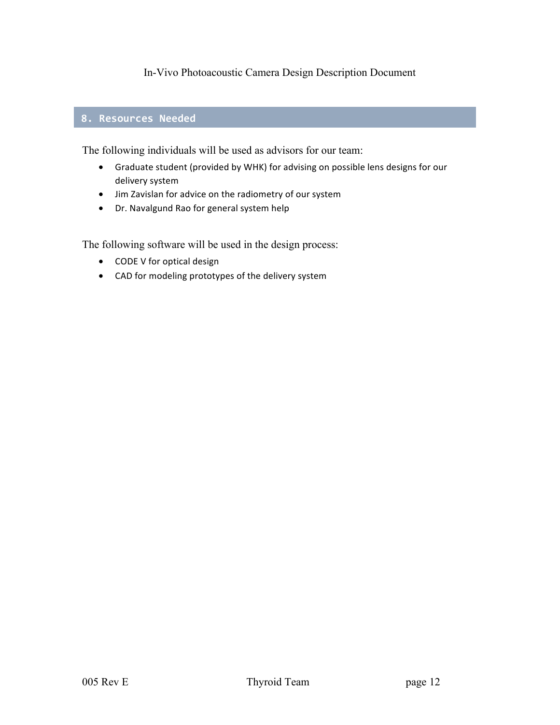#### **8. Resources Needed**

The following individuals will be used as advisors for our team:

- Graduate student (provided by WHK) for advising on possible lens designs for our delivery system
- Jim Zavislan for advice on the radiometry of our system
- Dr. Navalgund Rao for general system help

The following software will be used in the design process:

- CODE V for optical design
- CAD for modeling prototypes of the delivery system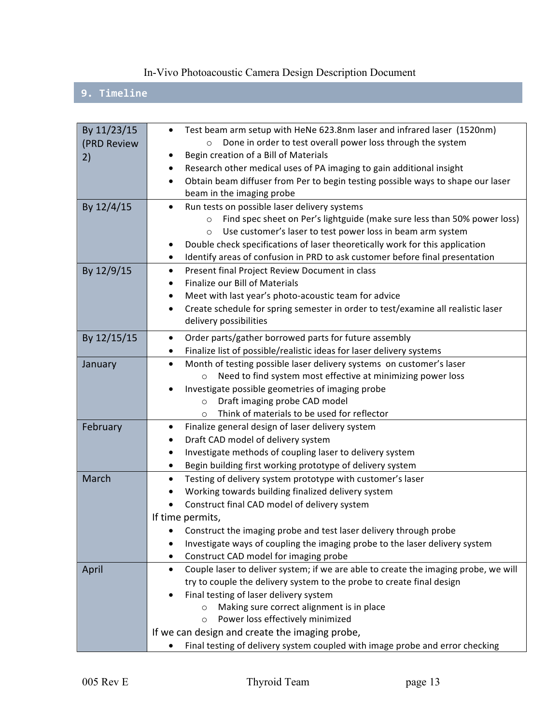## **9. Timeline**

| By 11/23/15<br>(PRD Review | Test beam arm setup with HeNe 623.8nm laser and infrared laser (1520nm)<br>Done in order to test overall power loss through the system<br>$\circ$<br>Begin creation of a Bill of Materials |  |  |
|----------------------------|--------------------------------------------------------------------------------------------------------------------------------------------------------------------------------------------|--|--|
| 2)                         | Research other medical uses of PA imaging to gain additional insight                                                                                                                       |  |  |
|                            |                                                                                                                                                                                            |  |  |
|                            | Obtain beam diffuser from Per to begin testing possible ways to shape our laser                                                                                                            |  |  |
|                            | beam in the imaging probe                                                                                                                                                                  |  |  |
| By 12/4/15                 | Run tests on possible laser delivery systems                                                                                                                                               |  |  |
|                            | Find spec sheet on Per's lightguide (make sure less than 50% power loss)<br>$\circ$                                                                                                        |  |  |
|                            | Use customer's laser to test power loss in beam arm system<br>$\circ$                                                                                                                      |  |  |
|                            | Double check specifications of laser theoretically work for this application                                                                                                               |  |  |
|                            | Identify areas of confusion in PRD to ask customer before final presentation                                                                                                               |  |  |
| By 12/9/15                 | Present final Project Review Document in class<br>٠                                                                                                                                        |  |  |
|                            | <b>Finalize our Bill of Materials</b>                                                                                                                                                      |  |  |
|                            | Meet with last year's photo-acoustic team for advice                                                                                                                                       |  |  |
|                            | Create schedule for spring semester in order to test/examine all realistic laser<br>$\bullet$                                                                                              |  |  |
|                            | delivery possibilities                                                                                                                                                                     |  |  |
| By 12/15/15                | Order parts/gather borrowed parts for future assembly<br>٠                                                                                                                                 |  |  |
|                            | Finalize list of possible/realistic ideas for laser delivery systems<br>٠                                                                                                                  |  |  |
| January                    | Month of testing possible laser delivery systems on customer's laser<br>$\bullet$                                                                                                          |  |  |
|                            | Need to find system most effective at minimizing power loss<br>$\circ$                                                                                                                     |  |  |
|                            | Investigate possible geometries of imaging probe                                                                                                                                           |  |  |
|                            | Draft imaging probe CAD model<br>$\circ$                                                                                                                                                   |  |  |
|                            | Think of materials to be used for reflector<br>$\circ$                                                                                                                                     |  |  |
| February                   | Finalize general design of laser delivery system<br>٠                                                                                                                                      |  |  |
|                            | Draft CAD model of delivery system                                                                                                                                                         |  |  |
|                            | Investigate methods of coupling laser to delivery system                                                                                                                                   |  |  |
|                            | Begin building first working prototype of delivery system                                                                                                                                  |  |  |
| March                      | Testing of delivery system prototype with customer's laser<br>$\bullet$                                                                                                                    |  |  |
|                            | Working towards building finalized delivery system                                                                                                                                         |  |  |
|                            | Construct final CAD model of delivery system                                                                                                                                               |  |  |
|                            | If time permits,                                                                                                                                                                           |  |  |
|                            | Construct the imaging probe and test laser delivery through probe                                                                                                                          |  |  |
|                            | Investigate ways of coupling the imaging probe to the laser delivery system                                                                                                                |  |  |
|                            | Construct CAD model for imaging probe                                                                                                                                                      |  |  |
| April                      | Couple laser to deliver system; if we are able to create the imaging probe, we will                                                                                                        |  |  |
|                            | try to couple the delivery system to the probe to create final design                                                                                                                      |  |  |
|                            | Final testing of laser delivery system                                                                                                                                                     |  |  |
|                            | Making sure correct alignment is in place<br>$\circ$                                                                                                                                       |  |  |
|                            | Power loss effectively minimized<br>$\circ$                                                                                                                                                |  |  |
|                            | If we can design and create the imaging probe,                                                                                                                                             |  |  |
|                            | Final testing of delivery system coupled with image probe and error checking                                                                                                               |  |  |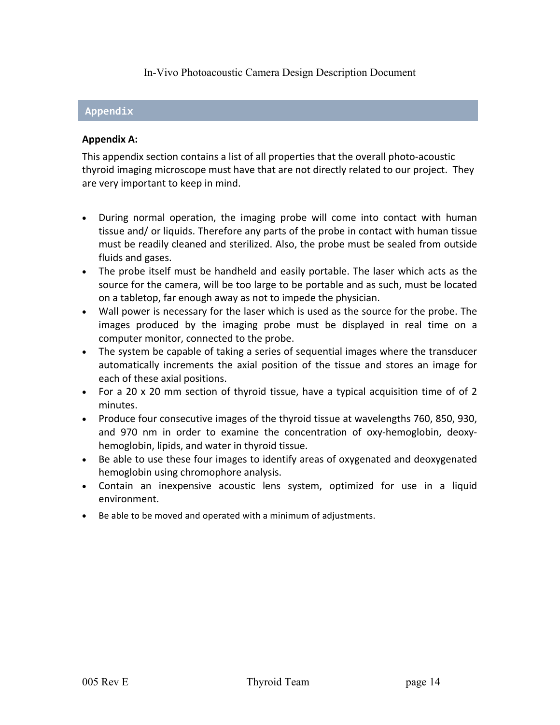## **Appendix**

#### **Appendix A:**

This appendix section contains a list of all properties that the overall photo-acoustic thyroid imaging microscope must have that are not directly related to our project. They are very important to keep in mind.

- During normal operation, the imaging probe will come into contact with human tissue and/ or liquids. Therefore any parts of the probe in contact with human tissue must be readily cleaned and sterilized. Also, the probe must be sealed from outside fluids and gases.
- The probe itself must be handheld and easily portable. The laser which acts as the source for the camera, will be too large to be portable and as such, must be located on a tabletop, far enough away as not to impede the physician.
- Wall power is necessary for the laser which is used as the source for the probe. The images produced by the imaging probe must be displayed in real time on a computer monitor, connected to the probe.
- The system be capable of taking a series of sequential images where the transducer automatically increments the axial position of the tissue and stores an image for each of these axial positions.
- For a 20 x 20 mm section of thyroid tissue, have a typical acquisition time of of 2 minutes.
- Produce four consecutive images of the thyroid tissue at wavelengths 760, 850, 930, and 970 nm in order to examine the concentration of oxy-hemoglobin, deoxyhemoglobin, lipids, and water in thyroid tissue.
- Be able to use these four images to identify areas of oxygenated and deoxygenated hemoglobin using chromophore analysis.
- Contain an inexpensive acoustic lens system, optimized for use in a liquid environment.
- Be able to be moved and operated with a minimum of adjustments.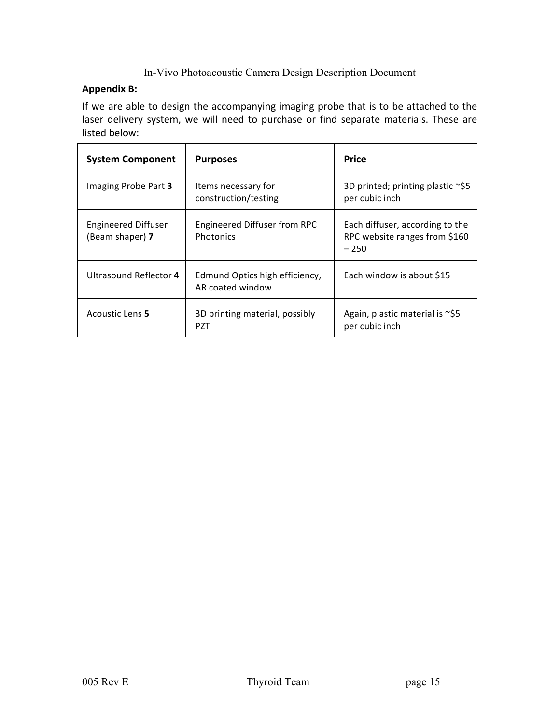## **Appendix B:**

If we are able to design the accompanying imaging probe that is to be attached to the laser delivery system, we will need to purchase or find separate materials. These are listed below:

| <b>System Component</b>                       | <b>Purposes</b>                                    | <b>Price</b>                                                               |
|-----------------------------------------------|----------------------------------------------------|----------------------------------------------------------------------------|
| Imaging Probe Part 3                          | Items necessary for<br>construction/testing        | 3D printed; printing plastic $\sim$ \$5<br>per cubic inch                  |
| <b>Engineered Diffuser</b><br>(Beam shaper) 7 | Engineered Diffuser from RPC<br>Photonics          | Each diffuser, according to the<br>RPC website ranges from \$160<br>$-250$ |
| Ultrasound Reflector 4                        | Edmund Optics high efficiency,<br>AR coated window | Each window is about \$15                                                  |
| Acoustic Lens 5                               | 3D printing material, possibly<br><b>PZT</b>       | Again, plastic material is $\sim$ \$5<br>per cubic inch                    |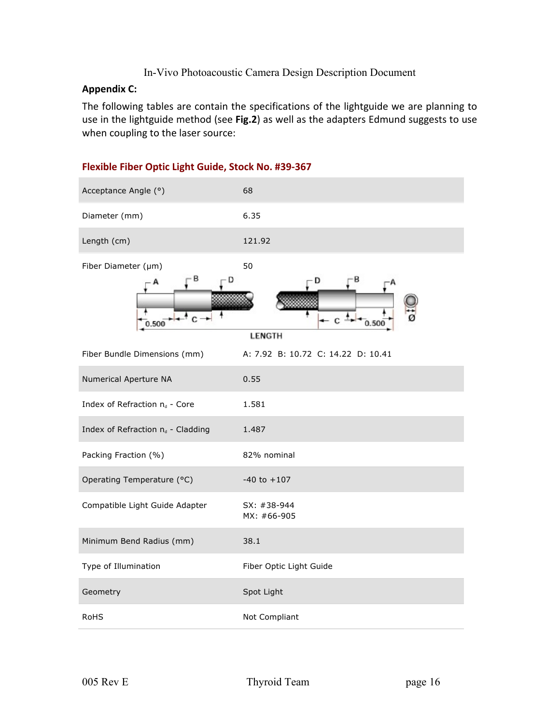#### **Appendix C:**

The following tables are contain the specifications of the lightguide we are planning to use in the lightguide method (see Fig.2) as well as the adapters Edmund suggests to use when coupling to the laser source:

## Acceptance Angle (°) 68 Diameter (mm) 6.35 Length (cm) 121.92 Fiber Diameter (µm) 50 B D  $\mathbf{c}$ . C  $0.500$  $0.50$ **LENGTH** Fiber Bundle Dimensions (mm) A: 7.92 B: 10.72 C: 14.22 D: 10.41 Numerical Aperture NA 60.55 Index of Refraction  $n_d$  - Core  $1.581$ Index of Refraction  $n_d$  - Cladding 1.487 Packing Fraction (%) 82% nominal Operating Temperature  $(^{\circ}C)$  -40 to +107 Compatible Light Guide Adapter SX: #38-944 MX: #66-905 Minimum Bend Radius (mm) 38.1 Type of Illumination Fiber Optic Light Guide Geometry Spot Light RoHS Not Compliant

#### Flexible Fiber Optic Light Guide, Stock No. #39-367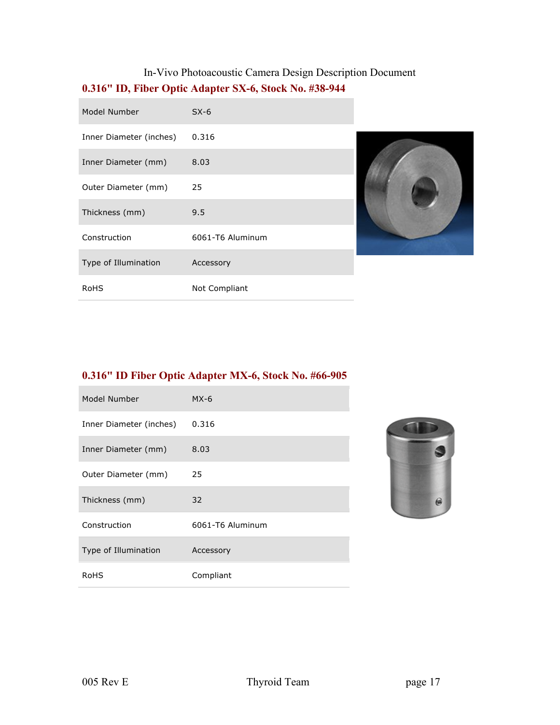## In-Vivo Photoacoustic Camera Design Description Document **0.316" ID, Fiber Optic Adapter SX-6, Stock No. #38-944**

٦

## **0.316" ID Fiber Optic Adapter MX-6, Stock No. #66-905**

| Model Number            | $MX-6$           |          |
|-------------------------|------------------|----------|
| Inner Diameter (inches) | 0.316            |          |
| Inner Diameter (mm)     | 8.03             |          |
| Outer Diameter (mm)     | 25               |          |
| Thickness (mm)          | 32               | $\theta$ |
| Construction            | 6061-T6 Aluminum |          |
| Type of Illumination    | Accessory        |          |
| <b>RoHS</b>             | Compliant        |          |

r.